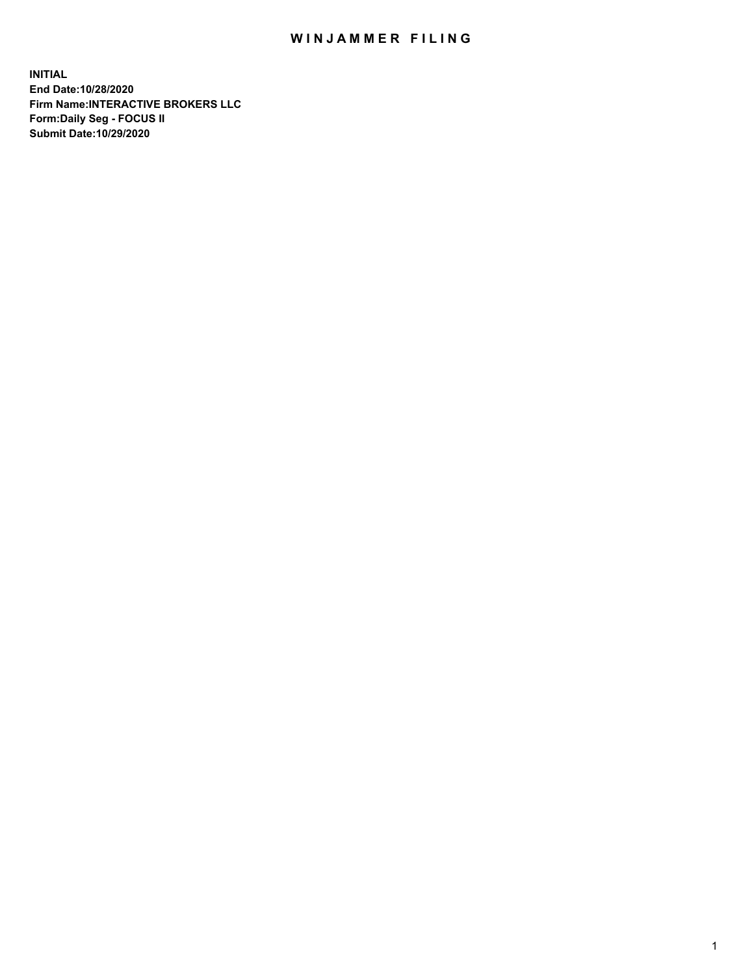## WIN JAMMER FILING

**INITIAL End Date:10/28/2020 Firm Name:INTERACTIVE BROKERS LLC Form:Daily Seg - FOCUS II Submit Date:10/29/2020**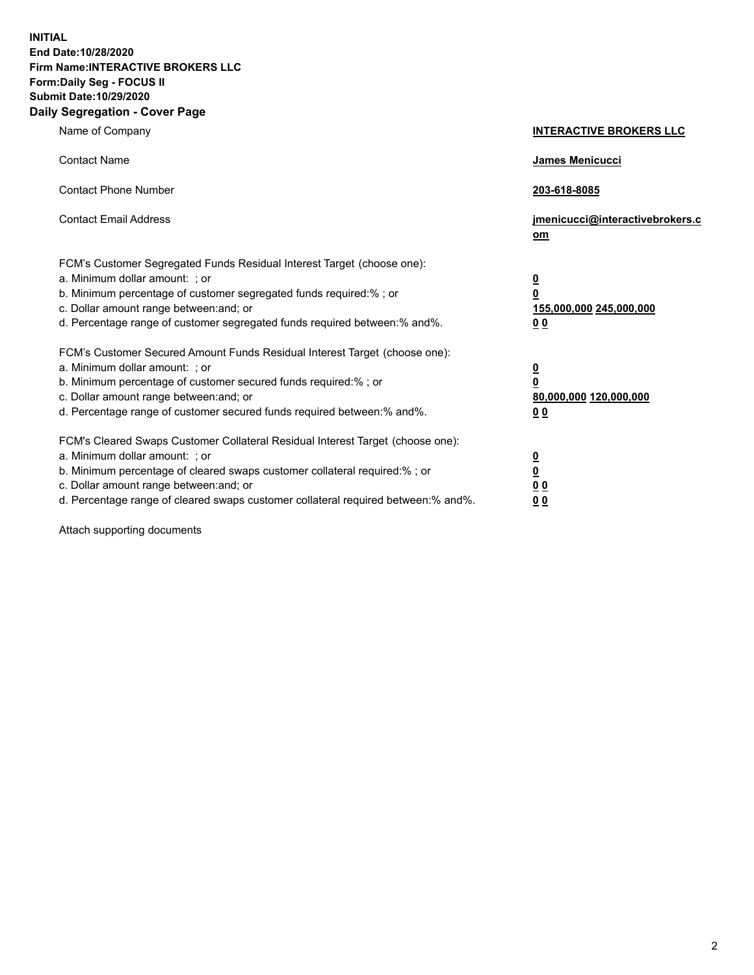**INITIAL End Date:10/28/2020 Firm Name:INTERACTIVE BROKERS LLC Form:Daily Seg - FOCUS II Submit Date:10/29/2020 Daily Segregation - Cover Page**

| Name of Company                                                                                                                                                                                                                                                                                                                | <b>INTERACTIVE BROKERS LLC</b>                                                                  |  |
|--------------------------------------------------------------------------------------------------------------------------------------------------------------------------------------------------------------------------------------------------------------------------------------------------------------------------------|-------------------------------------------------------------------------------------------------|--|
| <b>Contact Name</b>                                                                                                                                                                                                                                                                                                            | James Menicucci                                                                                 |  |
| <b>Contact Phone Number</b>                                                                                                                                                                                                                                                                                                    | 203-618-8085                                                                                    |  |
| <b>Contact Email Address</b>                                                                                                                                                                                                                                                                                                   | jmenicucci@interactivebrokers.c<br>om                                                           |  |
| FCM's Customer Segregated Funds Residual Interest Target (choose one):<br>a. Minimum dollar amount: ; or<br>b. Minimum percentage of customer segregated funds required:% ; or<br>c. Dollar amount range between: and; or<br>d. Percentage range of customer segregated funds required between:% and%.                         | $\overline{\mathbf{0}}$<br>$\overline{\mathbf{0}}$<br>155,000,000 245,000,000<br>0 <sub>0</sub> |  |
| FCM's Customer Secured Amount Funds Residual Interest Target (choose one):<br>a. Minimum dollar amount: ; or<br>b. Minimum percentage of customer secured funds required:% ; or<br>c. Dollar amount range between: and; or<br>d. Percentage range of customer secured funds required between:% and%.                           | <u>0</u><br>$\overline{\mathbf{0}}$<br>80,000,000 120,000,000<br>0 <sub>0</sub>                 |  |
| FCM's Cleared Swaps Customer Collateral Residual Interest Target (choose one):<br>a. Minimum dollar amount: ; or<br>b. Minimum percentage of cleared swaps customer collateral required:% ; or<br>c. Dollar amount range between: and; or<br>d. Percentage range of cleared swaps customer collateral required between:% and%. | $\frac{0}{0}$<br>0 <sub>0</sub><br>0 <sub>0</sub>                                               |  |

Attach supporting documents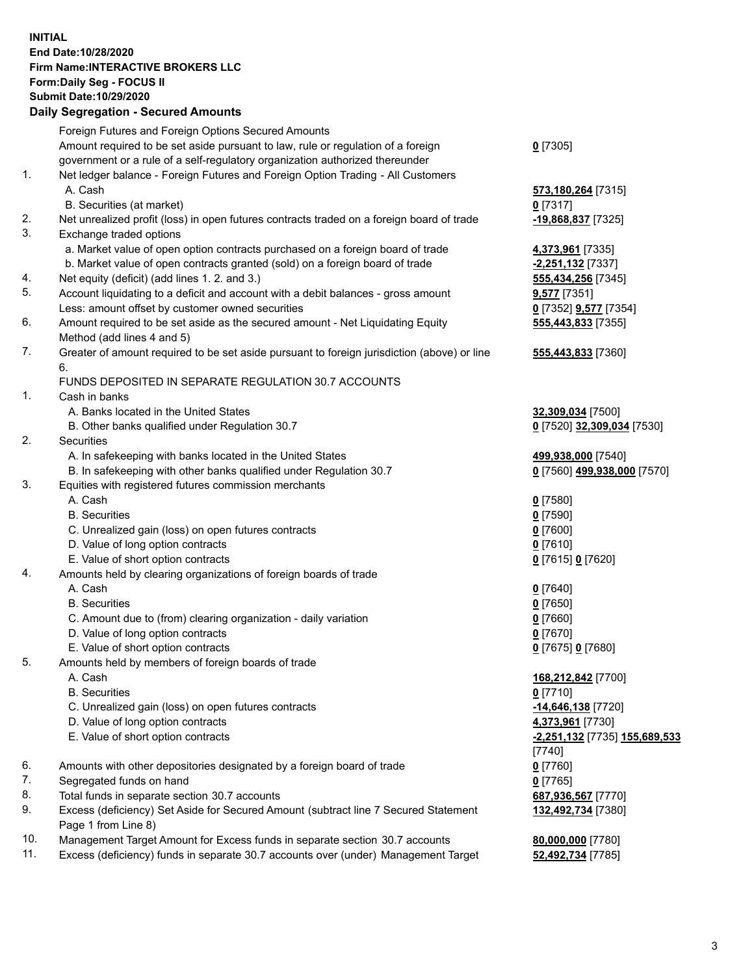**INITIAL End Date:10/28/2020 Firm Name:INTERACTIVE BROKERS LLC Form:Daily Seg - FOCUS II Submit Date:10/29/2020 Daily Segregation - Secured Amounts**

## Foreign Futures and Foreign Options Secured Amounts Amount required to be set aside pursuant to law, rule or regulation of a foreign government or a rule of a self-regulatory organization authorized thereunder **0** [7305] 1. Net ledger balance - Foreign Futures and Foreign Option Trading - All Customers A. Cash **573,180,264** [7315] B. Securities (at market) **0** [7317] 2. Net unrealized profit (loss) in open futures contracts traded on a foreign board of trade **-19,868,837** [7325] 3. Exchange traded options a. Market value of open option contracts purchased on a foreign board of trade **4,373,961** [7335] b. Market value of open contracts granted (sold) on a foreign board of trade **-2,251,132** [7337] 4. Net equity (deficit) (add lines 1. 2. and 3.) **555,434,256** [7345] 5. Account liquidating to a deficit and account with a debit balances - gross amount **9,577** [7351] Less: amount offset by customer owned securities **0** [7352] **9,577** [7354] 6. Amount required to be set aside as the secured amount - Net Liquidating Equity Method (add lines 4 and 5) **555,443,833** [7355] 7. Greater of amount required to be set aside pursuant to foreign jurisdiction (above) or line 6. **555,443,833** [7360] FUNDS DEPOSITED IN SEPARATE REGULATION 30.7 ACCOUNTS 1. Cash in banks A. Banks located in the United States **32,309,034** [7500] B. Other banks qualified under Regulation 30.7 **0** [7520] **32,309,034** [7530] 2. Securities A. In safekeeping with banks located in the United States **499,938,000** [7540] B. In safekeeping with other banks qualified under Regulation 30.7 **0** [7560] **499,938,000** [7570] 3. Equities with registered futures commission merchants A. Cash **0** [7580] B. Securities **0** [7590] C. Unrealized gain (loss) on open futures contracts **0** [7600] D. Value of long option contracts **0** [7610] E. Value of short option contracts **0** [7615] **0** [7620] 4. Amounts held by clearing organizations of foreign boards of trade A. Cash **0** [7640] B. Securities **0** [7650] C. Amount due to (from) clearing organization - daily variation **0** [7660] D. Value of long option contracts **0** [7670] E. Value of short option contracts **0** [7675] **0** [7680] 5. Amounts held by members of foreign boards of trade A. Cash **168,212,842** [7700] B. Securities **0** [7710] C. Unrealized gain (loss) on open futures contracts **-14,646,138** [7720] D. Value of long option contracts **4,373,961** [7730] E. Value of short option contracts **-2,251,132** [7735] **155,689,533** [7740] 6. Amounts with other depositories designated by a foreign board of trade **0** [7760] 7. Segregated funds on hand **0** [7765] 8. Total funds in separate section 30.7 accounts **687,936,567** [7770] 9. Excess (deficiency) Set Aside for Secured Amount (subtract line 7 Secured Statement Page 1 from Line 8) **132,492,734** [7380] 10. Management Target Amount for Excess funds in separate section 30.7 accounts **80,000,000** [7780] 11. Excess (deficiency) funds in separate 30.7 accounts over (under) Management Target **52,492,734** [7785]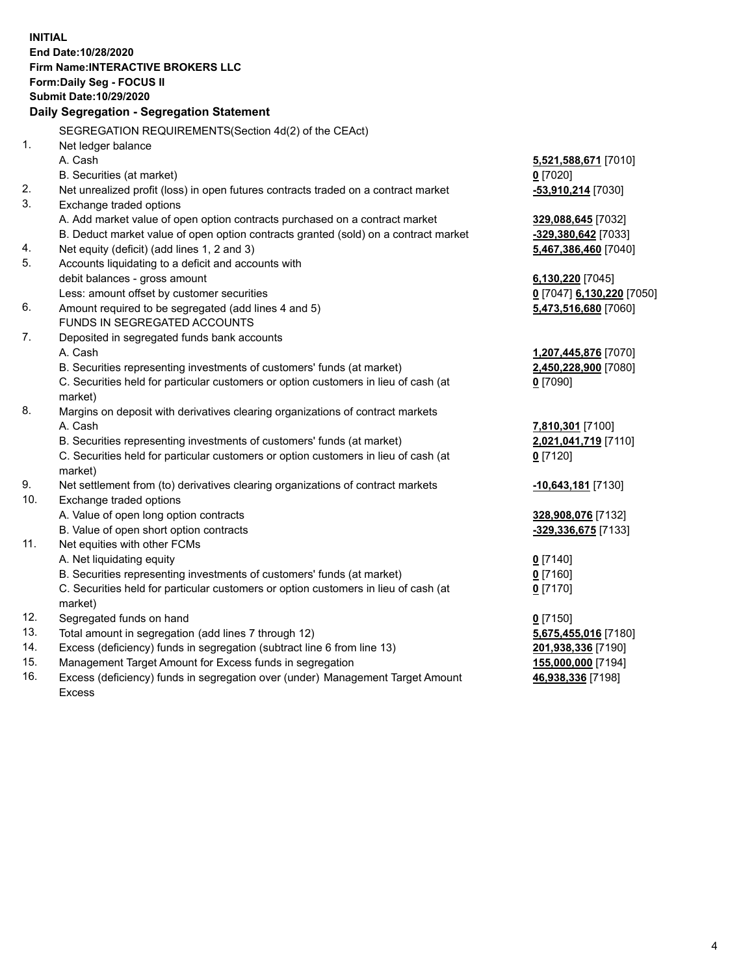**INITIAL End Date:10/28/2020 Firm Name:INTERACTIVE BROKERS LLC Form:Daily Seg - FOCUS II Submit Date:10/29/2020 Daily Segregation - Segregation Statement** SEGREGATION REQUIREMENTS(Section 4d(2) of the CEAct) 1. Net ledger balance A. Cash **5,521,588,671** [7010] B. Securities (at market) **0** [7020] 2. Net unrealized profit (loss) in open futures contracts traded on a contract market **-53,910,214** [7030] 3. Exchange traded options A. Add market value of open option contracts purchased on a contract market **329,088,645** [7032] B. Deduct market value of open option contracts granted (sold) on a contract market **-329,380,642** [7033] 4. Net equity (deficit) (add lines 1, 2 and 3) **5,467,386,460** [7040] 5. Accounts liquidating to a deficit and accounts with debit balances - gross amount **6,130,220** [7045] Less: amount offset by customer securities **0** [7047] **6,130,220** [7050] 6. Amount required to be segregated (add lines 4 and 5) **5,473,516,680** [7060] FUNDS IN SEGREGATED ACCOUNTS 7. Deposited in segregated funds bank accounts A. Cash **1,207,445,876** [7070] B. Securities representing investments of customers' funds (at market) **2,450,228,900** [7080] C. Securities held for particular customers or option customers in lieu of cash (at market) **0** [7090] 8. Margins on deposit with derivatives clearing organizations of contract markets A. Cash **7,810,301** [7100] B. Securities representing investments of customers' funds (at market) **2,021,041,719** [7110] C. Securities held for particular customers or option customers in lieu of cash (at market) **0** [7120] 9. Net settlement from (to) derivatives clearing organizations of contract markets **-10,643,181** [7130] 10. Exchange traded options A. Value of open long option contracts **328,908,076** [7132] B. Value of open short option contracts **-329,336,675** [7133] 11. Net equities with other FCMs A. Net liquidating equity **0** [7140] B. Securities representing investments of customers' funds (at market) **0** [7160] C. Securities held for particular customers or option customers in lieu of cash (at market) **0** [7170] 12. Segregated funds on hand **0** [7150] 13. Total amount in segregation (add lines 7 through 12) **5,675,455,016** [7180] 14. Excess (deficiency) funds in segregation (subtract line 6 from line 13) **201,938,336** [7190] 15. Management Target Amount for Excess funds in segregation **155,000,000** [7194] 16. Excess (deficiency) funds in segregation over (under) Management Target Amount **46,938,336** [7198]

Excess